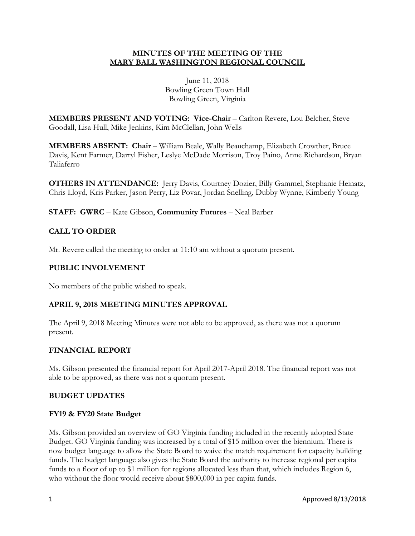# **MINUTES OF THE MEETING OF THE MARY BALL WASHINGTON REGIONAL COUNCIL**

June 11, 2018 Bowling Green Town Hall Bowling Green, Virginia

**MEMBERS PRESENT AND VOTING: Vice-Chair** – Carlton Revere, Lou Belcher, Steve Goodall, Lisa Hull, Mike Jenkins, Kim McClellan, John Wells

**MEMBERS ABSENT: Chair – William Beale, Wally Beauchamp, Elizabeth Crowther, Bruce** Davis, Kent Farmer, Darryl Fisher, Leslye McDade Morrison, Troy Paino, Anne Richardson, Bryan Taliaferro

**OTHERS IN ATTENDANCE:** Jerry Davis, Courtney Dozier, Billy Gammel, Stephanie Heinatz, Chris Lloyd, Kris Parker, Jason Perry, Liz Povar, Jordan Snelling, Dubby Wynne, Kimberly Young

**STAFF: GWRC** – Kate Gibson, **Community Futures** – Neal Barber

# **CALL TO ORDER**

Mr. Revere called the meeting to order at 11:10 am without a quorum present.

# **PUBLIC INVOLVEMENT**

No members of the public wished to speak.

## **APRIL 9, 2018 MEETING MINUTES APPROVAL**

The April 9, 2018 Meeting Minutes were not able to be approved, as there was not a quorum present.

## **FINANCIAL REPORT**

Ms. Gibson presented the financial report for April 2017-April 2018. The financial report was not able to be approved, as there was not a quorum present.

## **BUDGET UPDATES**

#### **FY19 & FY20 State Budget**

Ms. Gibson provided an overview of GO Virginia funding included in the recently adopted State Budget. GO Virginia funding was increased by a total of \$15 million over the biennium. There is now budget language to allow the State Board to waive the match requirement for capacity building funds. The budget language also gives the State Board the authority to increase regional per capita funds to a floor of up to \$1 million for regions allocated less than that, which includes Region 6, who without the floor would receive about \$800,000 in per capita funds.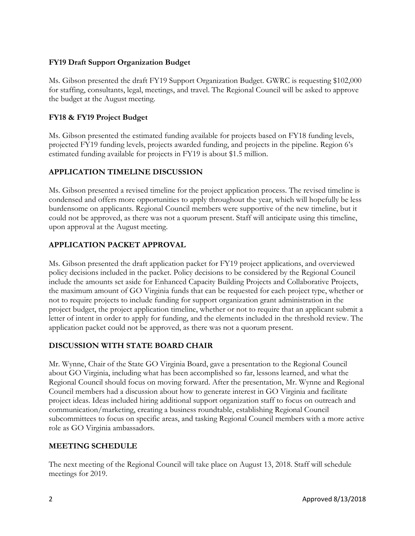# **FY19 Draft Support Organization Budget**

Ms. Gibson presented the draft FY19 Support Organization Budget. GWRC is requesting \$102,000 for staffing, consultants, legal, meetings, and travel. The Regional Council will be asked to approve the budget at the August meeting.

# **FY18 & FY19 Project Budget**

Ms. Gibson presented the estimated funding available for projects based on FY18 funding levels, projected FY19 funding levels, projects awarded funding, and projects in the pipeline. Region 6's estimated funding available for projects in FY19 is about \$1.5 million.

# **APPLICATION TIMELINE DISCUSSION**

Ms. Gibson presented a revised timeline for the project application process. The revised timeline is condensed and offers more opportunities to apply throughout the year, which will hopefully be less burdensome on applicants. Regional Council members were supportive of the new timeline, but it could not be approved, as there was not a quorum present. Staff will anticipate using this timeline, upon approval at the August meeting.

# **APPLICATION PACKET APPROVAL**

Ms. Gibson presented the draft application packet for FY19 project applications, and overviewed policy decisions included in the packet. Policy decisions to be considered by the Regional Council include the amounts set aside for Enhanced Capacity Building Projects and Collaborative Projects, the maximum amount of GO Virginia funds that can be requested for each project type, whether or not to require projects to include funding for support organization grant administration in the project budget, the project application timeline, whether or not to require that an applicant submit a letter of intent in order to apply for funding, and the elements included in the threshold review. The application packet could not be approved, as there was not a quorum present.

## **DISCUSSION WITH STATE BOARD CHAIR**

Mr. Wynne, Chair of the State GO Virginia Board, gave a presentation to the Regional Council about GO Virginia, including what has been accomplished so far, lessons learned, and what the Regional Council should focus on moving forward. After the presentation, Mr. Wynne and Regional Council members had a discussion about how to generate interest in GO Virginia and facilitate project ideas. Ideas included hiring additional support organization staff to focus on outreach and communication/marketing, creating a business roundtable, establishing Regional Council subcommittees to focus on specific areas, and tasking Regional Council members with a more active role as GO Virginia ambassadors.

## **MEETING SCHEDULE**

The next meeting of the Regional Council will take place on August 13, 2018. Staff will schedule meetings for 2019.